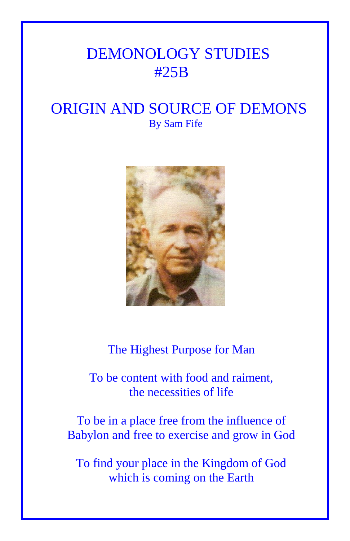## DEMONOLOGY STUDIES #25B

## ORIGIN AND SOURCE OF DEMONS By Sam Fife



The Highest Purpose for Man

To be content with food and raiment, the necessities of life

To be in a place free from the influence of Babylon and free to exercise and grow in God

To find your place in the Kingdom of God which is coming on the Earth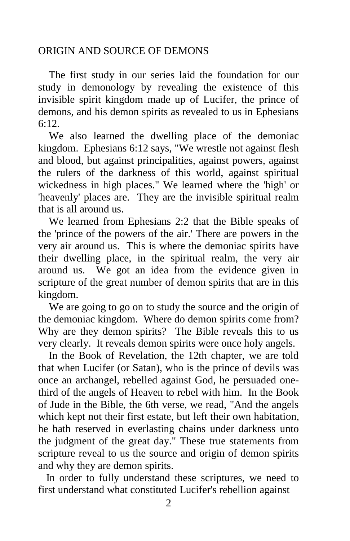## ORIGIN AND SOURCE OF DEMONS

 The first study in our series laid the foundation for our study in demonology by revealing the existence of this invisible spirit kingdom made up of Lucifer, the prince of demons, and his demon spirits as revealed to us in Ephesians 6:12.

 We also learned the dwelling place of the demoniac kingdom. Ephesians 6:12 says, "We wrestle not against flesh and blood, but against principalities, against powers, against the rulers of the darkness of this world, against spiritual wickedness in high places." We learned where the 'high' or 'heavenly' places are. They are the invisible spiritual realm that is all around us.

 We learned from Ephesians 2:2 that the Bible speaks of the 'prince of the powers of the air.' There are powers in the very air around us. This is where the demoniac spirits have their dwelling place, in the spiritual realm, the very air around us. We got an idea from the evidence given in scripture of the great number of demon spirits that are in this kingdom.

 We are going to go on to study the source and the origin of the demoniac kingdom. Where do demon spirits come from? Why are they demon spirits? The Bible reveals this to us very clearly. It reveals demon spirits were once holy angels.

 In the Book of Revelation, the 12th chapter, we are told that when Lucifer (or Satan), who is the prince of devils was once an archangel, rebelled against God, he persuaded onethird of the angels of Heaven to rebel with him. In the Book of Jude in the Bible, the 6th verse, we read, "And the angels which kept not their first estate, but left their own habitation, he hath reserved in everlasting chains under darkness unto the judgment of the great day." These true statements from scripture reveal to us the source and origin of demon spirits and why they are demon spirits.

 In order to fully understand these scriptures, we need to first understand what constituted Lucifer's rebellion against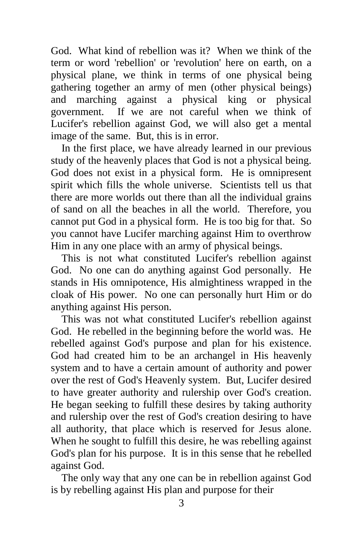God. What kind of rebellion was it? When we think of the term or word 'rebellion' or 'revolution' here on earth, on a physical plane, we think in terms of one physical being gathering together an army of men (other physical beings) and marching against a physical king or physical government. If we are not careful when we think of Lucifer's rebellion against God, we will also get a mental image of the same. But, this is in error.

 In the first place, we have already learned in our previous study of the heavenly places that God is not a physical being. God does not exist in a physical form. He is omnipresent spirit which fills the whole universe. Scientists tell us that there are more worlds out there than all the individual grains of sand on all the beaches in all the world. Therefore, you cannot put God in a physical form. He is too big for that. So you cannot have Lucifer marching against Him to overthrow Him in any one place with an army of physical beings.

 This is not what constituted Lucifer's rebellion against God. No one can do anything against God personally. He stands in His omnipotence, His almightiness wrapped in the cloak of His power. No one can personally hurt Him or do anything against His person.

 This was not what constituted Lucifer's rebellion against God. He rebelled in the beginning before the world was. He rebelled against God's purpose and plan for his existence. God had created him to be an archangel in His heavenly system and to have a certain amount of authority and power over the rest of God's Heavenly system. But, Lucifer desired to have greater authority and rulership over God's creation. He began seeking to fulfill these desires by taking authority and rulership over the rest of God's creation desiring to have all authority, that place which is reserved for Jesus alone. When he sought to fulfill this desire, he was rebelling against God's plan for his purpose. It is in this sense that he rebelled against God.

 The only way that any one can be in rebellion against God is by rebelling against His plan and purpose for their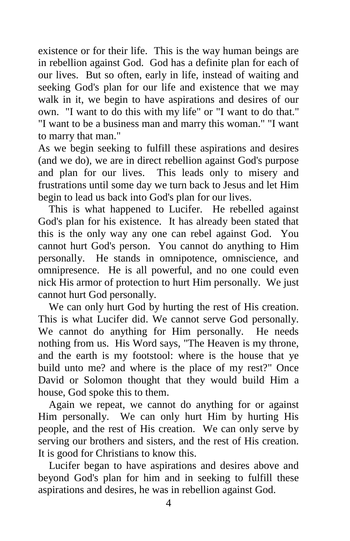existence or for their life. This is the way human beings are in rebellion against God. God has a definite plan for each of our lives. But so often, early in life, instead of waiting and seeking God's plan for our life and existence that we may walk in it, we begin to have aspirations and desires of our own. "I want to do this with my life" or "I want to do that." "I want to be a business man and marry this woman." "I want to marry that man."

As we begin seeking to fulfill these aspirations and desires (and we do), we are in direct rebellion against God's purpose and plan for our lives. This leads only to misery and frustrations until some day we turn back to Jesus and let Him begin to lead us back into God's plan for our lives.

 This is what happened to Lucifer. He rebelled against God's plan for his existence. It has already been stated that this is the only way any one can rebel against God. You cannot hurt God's person. You cannot do anything to Him personally. He stands in omnipotence, omniscience, and omnipresence. He is all powerful, and no one could even nick His armor of protection to hurt Him personally. We just cannot hurt God personally.

We can only hurt God by hurting the rest of His creation. This is what Lucifer did. We cannot serve God personally. We cannot do anything for Him personally. He needs nothing from us. His Word says, "The Heaven is my throne, and the earth is my footstool: where is the house that ye build unto me? and where is the place of my rest?" Once David or Solomon thought that they would build Him a house, God spoke this to them.

 Again we repeat, we cannot do anything for or against Him personally. We can only hurt Him by hurting His people, and the rest of His creation. We can only serve by serving our brothers and sisters, and the rest of His creation. It is good for Christians to know this.

 Lucifer began to have aspirations and desires above and beyond God's plan for him and in seeking to fulfill these aspirations and desires, he was in rebellion against God.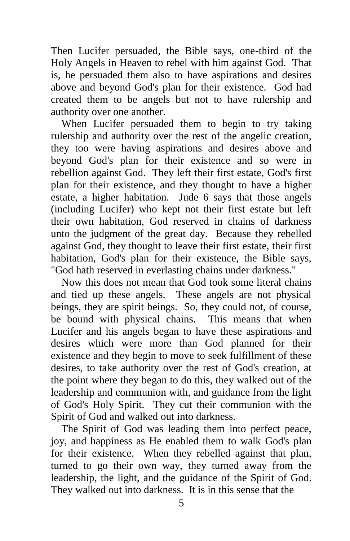Then Lucifer persuaded, the Bible says, one-third of the Holy Angels in Heaven to rebel with him against God. That is, he persuaded them also to have aspirations and desires above and beyond God's plan for their existence. God had created them to be angels but not to have rulership and authority over one another.

 When Lucifer persuaded them to begin to try taking rulership and authority over the rest of the angelic creation, they too were having aspirations and desires above and beyond God's plan for their existence and so were in rebellion against God. They left their first estate, God's first plan for their existence, and they thought to have a higher estate, a higher habitation. Jude 6 says that those angels (including Lucifer) who kept not their first estate but left their own habitation, God reserved in chains of darkness unto the judgment of the great day. Because they rebelled against God, they thought to leave their first estate, their first habitation, God's plan for their existence, the Bible says, "God hath reserved in everlasting chains under darkness."

 Now this does not mean that God took some literal chains and tied up these angels. These angels are not physical beings, they are spirit beings. So, they could not, of course, be bound with physical chains. This means that when Lucifer and his angels began to have these aspirations and desires which were more than God planned for their existence and they begin to move to seek fulfillment of these desires, to take authority over the rest of God's creation, at the point where they began to do this, they walked out of the leadership and communion with, and guidance from the light of God's Holy Spirit. They cut their communion with the Spirit of God and walked out into darkness.

 The Spirit of God was leading them into perfect peace, joy, and happiness as He enabled them to walk God's plan for their existence. When they rebelled against that plan, turned to go their own way, they turned away from the leadership, the light, and the guidance of the Spirit of God. They walked out into darkness. It is in this sense that the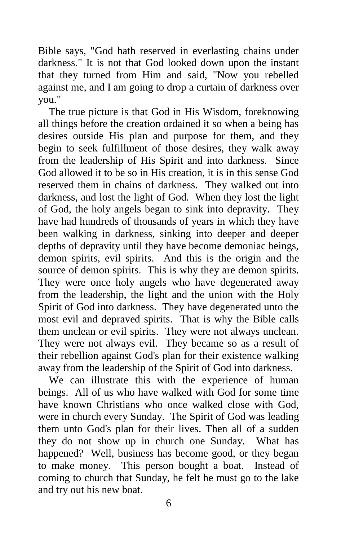Bible says, "God hath reserved in everlasting chains under darkness." It is not that God looked down upon the instant that they turned from Him and said, "Now you rebelled against me, and I am going to drop a curtain of darkness over you."

 The true picture is that God in His Wisdom, foreknowing all things before the creation ordained it so when a being has desires outside His plan and purpose for them, and they begin to seek fulfillment of those desires, they walk away from the leadership of His Spirit and into darkness. Since God allowed it to be so in His creation, it is in this sense God reserved them in chains of darkness. They walked out into darkness, and lost the light of God. When they lost the light of God, the holy angels began to sink into depravity. They have had hundreds of thousands of years in which they have been walking in darkness, sinking into deeper and deeper depths of depravity until they have become demoniac beings, demon spirits, evil spirits. And this is the origin and the source of demon spirits. This is why they are demon spirits. They were once holy angels who have degenerated away from the leadership, the light and the union with the Holy Spirit of God into darkness. They have degenerated unto the most evil and depraved spirits. That is why the Bible calls them unclean or evil spirits. They were not always unclean. They were not always evil. They became so as a result of their rebellion against God's plan for their existence walking away from the leadership of the Spirit of God into darkness.

 We can illustrate this with the experience of human beings. All of us who have walked with God for some time have known Christians who once walked close with God, were in church every Sunday. The Spirit of God was leading them unto God's plan for their lives. Then all of a sudden they do not show up in church one Sunday. What has happened? Well, business has become good, or they began to make money. This person bought a boat. Instead of coming to church that Sunday, he felt he must go to the lake and try out his new boat.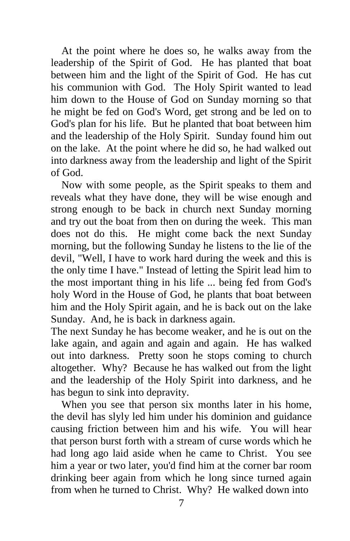At the point where he does so, he walks away from the leadership of the Spirit of God. He has planted that boat between him and the light of the Spirit of God. He has cut his communion with God. The Holy Spirit wanted to lead him down to the House of God on Sunday morning so that he might be fed on God's Word, get strong and be led on to God's plan for his life. But he planted that boat between him and the leadership of the Holy Spirit. Sunday found him out on the lake. At the point where he did so, he had walked out into darkness away from the leadership and light of the Spirit of God.

 Now with some people, as the Spirit speaks to them and reveals what they have done, they will be wise enough and strong enough to be back in church next Sunday morning and try out the boat from then on during the week. This man does not do this. He might come back the next Sunday morning, but the following Sunday he listens to the lie of the devil, "Well, I have to work hard during the week and this is the only time I have." Instead of letting the Spirit lead him to the most important thing in his life ... being fed from God's holy Word in the House of God, he plants that boat between him and the Holy Spirit again, and he is back out on the lake Sunday. And, he is back in darkness again.

The next Sunday he has become weaker, and he is out on the lake again, and again and again and again. He has walked out into darkness. Pretty soon he stops coming to church altogether. Why? Because he has walked out from the light and the leadership of the Holy Spirit into darkness, and he has begun to sink into depravity.

 When you see that person six months later in his home, the devil has slyly led him under his dominion and guidance causing friction between him and his wife. You will hear that person burst forth with a stream of curse words which he had long ago laid aside when he came to Christ. You see him a year or two later, you'd find him at the corner bar room drinking beer again from which he long since turned again from when he turned to Christ. Why? He walked down into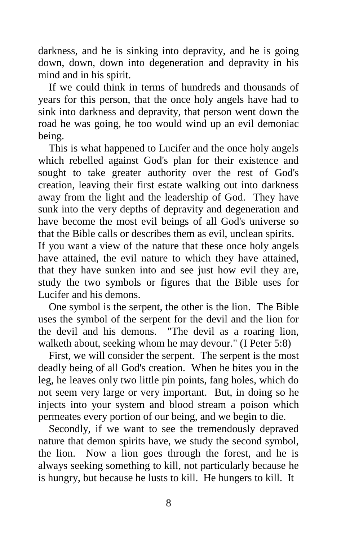darkness, and he is sinking into depravity, and he is going down, down, down into degeneration and depravity in his mind and in his spirit.

 If we could think in terms of hundreds and thousands of years for this person, that the once holy angels have had to sink into darkness and depravity, that person went down the road he was going, he too would wind up an evil demoniac being.

 This is what happened to Lucifer and the once holy angels which rebelled against God's plan for their existence and sought to take greater authority over the rest of God's creation, leaving their first estate walking out into darkness away from the light and the leadership of God. They have sunk into the very depths of depravity and degeneration and have become the most evil beings of all God's universe so that the Bible calls or describes them as evil, unclean spirits. If you want a view of the nature that these once holy angels have attained, the evil nature to which they have attained, that they have sunken into and see just how evil they are, study the two symbols or figures that the Bible uses for

Lucifer and his demons.

 One symbol is the serpent, the other is the lion. The Bible uses the symbol of the serpent for the devil and the lion for the devil and his demons. "The devil as a roaring lion, walketh about, seeking whom he may devour." (I Peter 5:8)

 First, we will consider the serpent. The serpent is the most deadly being of all God's creation. When he bites you in the leg, he leaves only two little pin points, fang holes, which do not seem very large or very important. But, in doing so he injects into your system and blood stream a poison which permeates every portion of our being, and we begin to die.

 Secondly, if we want to see the tremendously depraved nature that demon spirits have, we study the second symbol, the lion. Now a lion goes through the forest, and he is always seeking something to kill, not particularly because he is hungry, but because he lusts to kill. He hungers to kill. It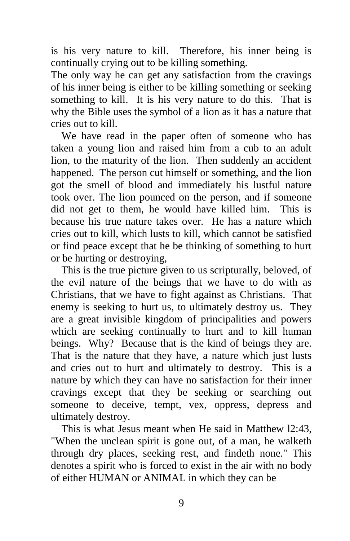is his very nature to kill. Therefore, his inner being is continually crying out to be killing something.

The only way he can get any satisfaction from the cravings of his inner being is either to be killing something or seeking something to kill. It is his very nature to do this. That is why the Bible uses the symbol of a lion as it has a nature that cries out to kill.

 We have read in the paper often of someone who has taken a young lion and raised him from a cub to an adult lion, to the maturity of the lion. Then suddenly an accident happened. The person cut himself or something, and the lion got the smell of blood and immediately his lustful nature took over. The lion pounced on the person, and if someone did not get to them, he would have killed him. This is because his true nature takes over. He has a nature which cries out to kill, which lusts to kill, which cannot be satisfied or find peace except that he be thinking of something to hurt or be hurting or destroying,

 This is the true picture given to us scripturally, beloved, of the evil nature of the beings that we have to do with as Christians, that we have to fight against as Christians. That enemy is seeking to hurt us, to ultimately destroy us. They are a great invisible kingdom of principalities and powers which are seeking continually to hurt and to kill human beings. Why? Because that is the kind of beings they are. That is the nature that they have, a nature which just lusts and cries out to hurt and ultimately to destroy. This is a nature by which they can have no satisfaction for their inner cravings except that they be seeking or searching out someone to deceive, tempt, vex, oppress, depress and ultimately destroy.

 This is what Jesus meant when He said in Matthew l2:43, "When the unclean spirit is gone out, of a man, he walketh through dry places, seeking rest, and findeth none." This denotes a spirit who is forced to exist in the air with no body of either HUMAN or ANIMAL in which they can be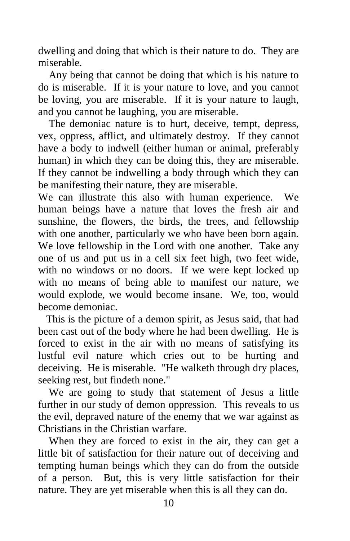dwelling and doing that which is their nature to do. They are miserable.

 Any being that cannot be doing that which is his nature to do is miserable. If it is your nature to love, and you cannot be loving, you are miserable. If it is your nature to laugh, and you cannot be laughing, you are miserable.

 The demoniac nature is to hurt, deceive, tempt, depress, vex, oppress, afflict, and ultimately destroy. If they cannot have a body to indwell (either human or animal, preferably human) in which they can be doing this, they are miserable. If they cannot be indwelling a body through which they can be manifesting their nature, they are miserable.

We can illustrate this also with human experience. We human beings have a nature that loves the fresh air and sunshine, the flowers, the birds, the trees, and fellowship with one another, particularly we who have been born again. We love fellowship in the Lord with one another. Take any one of us and put us in a cell six feet high, two feet wide, with no windows or no doors. If we were kept locked up with no means of being able to manifest our nature, we would explode, we would become insane. We, too, would become demoniac.

 This is the picture of a demon spirit, as Jesus said, that had been cast out of the body where he had been dwelling. He is forced to exist in the air with no means of satisfying its lustful evil nature which cries out to be hurting and deceiving. He is miserable. "He walketh through dry places, seeking rest, but findeth none."

 We are going to study that statement of Jesus a little further in our study of demon oppression. This reveals to us the evil, depraved nature of the enemy that we war against as Christians in the Christian warfare.

 When they are forced to exist in the air, they can get a little bit of satisfaction for their nature out of deceiving and tempting human beings which they can do from the outside of a person. But, this is very little satisfaction for their nature. They are yet miserable when this is all they can do.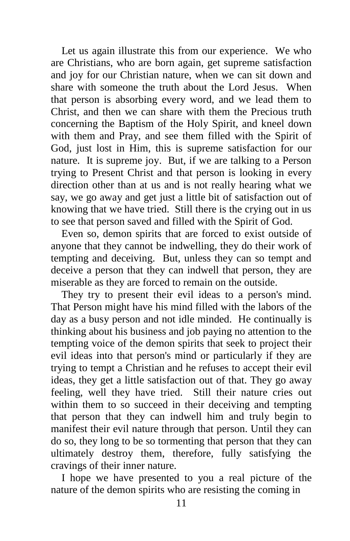Let us again illustrate this from our experience. We who are Christians, who are born again, get supreme satisfaction and joy for our Christian nature, when we can sit down and share with someone the truth about the Lord Jesus. When that person is absorbing every word, and we lead them to Christ, and then we can share with them the Precious truth concerning the Baptism of the Holy Spirit, and kneel down with them and Pray, and see them filled with the Spirit of God, just lost in Him, this is supreme satisfaction for our nature. It is supreme joy. But, if we are talking to a Person trying to Present Christ and that person is looking in every direction other than at us and is not really hearing what we say, we go away and get just a little bit of satisfaction out of knowing that we have tried. Still there is the crying out in us to see that person saved and filled with the Spirit of God.

 Even so, demon spirits that are forced to exist outside of anyone that they cannot be indwelling, they do their work of tempting and deceiving. But, unless they can so tempt and deceive a person that they can indwell that person, they are miserable as they are forced to remain on the outside.

 They try to present their evil ideas to a person's mind. That Person might have his mind filled with the labors of the day as a busy person and not idle minded. He continually is thinking about his business and job paying no attention to the tempting voice of the demon spirits that seek to project their evil ideas into that person's mind or particularly if they are trying to tempt a Christian and he refuses to accept their evil ideas, they get a little satisfaction out of that. They go away feeling, well they have tried. Still their nature cries out within them to so succeed in their deceiving and tempting that person that they can indwell him and truly begin to manifest their evil nature through that person. Until they can do so, they long to be so tormenting that person that they can ultimately destroy them, therefore, fully satisfying the cravings of their inner nature.

 I hope we have presented to you a real picture of the nature of the demon spirits who are resisting the coming in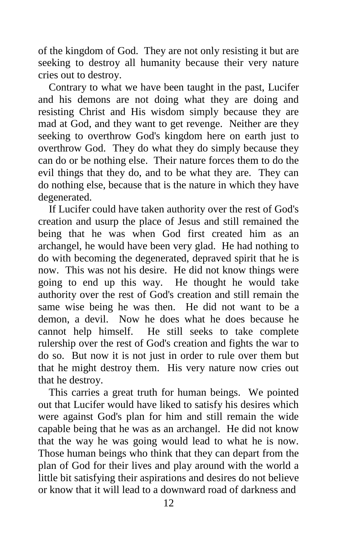of the kingdom of God. They are not only resisting it but are seeking to destroy all humanity because their very nature cries out to destroy.

 Contrary to what we have been taught in the past, Lucifer and his demons are not doing what they are doing and resisting Christ and His wisdom simply because they are mad at God, and they want to get revenge. Neither are they seeking to overthrow God's kingdom here on earth just to overthrow God. They do what they do simply because they can do or be nothing else. Their nature forces them to do the evil things that they do, and to be what they are. They can do nothing else, because that is the nature in which they have degenerated.

 If Lucifer could have taken authority over the rest of God's creation and usurp the place of Jesus and still remained the being that he was when God first created him as an archangel, he would have been very glad. He had nothing to do with becoming the degenerated, depraved spirit that he is now. This was not his desire. He did not know things were going to end up this way. He thought he would take authority over the rest of God's creation and still remain the same wise being he was then. He did not want to be a demon, a devil. Now he does what he does because he cannot help himself. He still seeks to take complete rulership over the rest of God's creation and fights the war to do so. But now it is not just in order to rule over them but that he might destroy them. His very nature now cries out that he destroy.

 This carries a great truth for human beings. We pointed out that Lucifer would have liked to satisfy his desires which were against God's plan for him and still remain the wide capable being that he was as an archangel. He did not know that the way he was going would lead to what he is now. Those human beings who think that they can depart from the plan of God for their lives and play around with the world a little bit satisfying their aspirations and desires do not believe or know that it will lead to a downward road of darkness and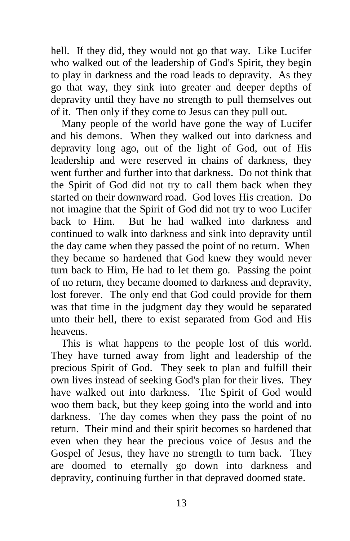hell. If they did, they would not go that way. Like Lucifer who walked out of the leadership of God's Spirit, they begin to play in darkness and the road leads to depravity. As they go that way, they sink into greater and deeper depths of depravity until they have no strength to pull themselves out of it. Then only if they come to Jesus can they pull out.

 Many people of the world have gone the way of Lucifer and his demons. When they walked out into darkness and depravity long ago, out of the light of God, out of His leadership and were reserved in chains of darkness, they went further and further into that darkness. Do not think that the Spirit of God did not try to call them back when they started on their downward road. God loves His creation. Do not imagine that the Spirit of God did not try to woo Lucifer back to Him. But he had walked into darkness and continued to walk into darkness and sink into depravity until the day came when they passed the point of no return. When they became so hardened that God knew they would never turn back to Him, He had to let them go. Passing the point of no return, they became doomed to darkness and depravity, lost forever. The only end that God could provide for them was that time in the judgment day they would be separated unto their hell, there to exist separated from God and His heavens.

 This is what happens to the people lost of this world. They have turned away from light and leadership of the precious Spirit of God. They seek to plan and fulfill their own lives instead of seeking God's plan for their lives. They have walked out into darkness. The Spirit of God would woo them back, but they keep going into the world and into darkness. The day comes when they pass the point of no return. Their mind and their spirit becomes so hardened that even when they hear the precious voice of Jesus and the Gospel of Jesus, they have no strength to turn back. They are doomed to eternally go down into darkness and depravity, continuing further in that depraved doomed state.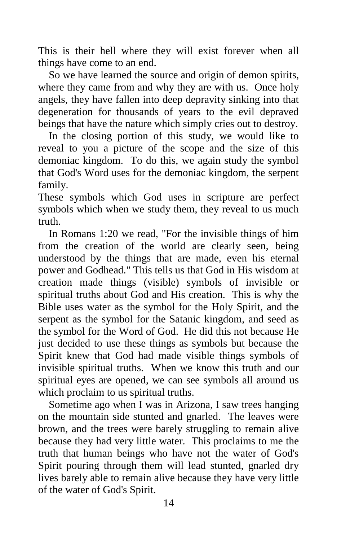This is their hell where they will exist forever when all things have come to an end.

 So we have learned the source and origin of demon spirits, where they came from and why they are with us. Once holy angels, they have fallen into deep depravity sinking into that degeneration for thousands of years to the evil depraved beings that have the nature which simply cries out to destroy.

 In the closing portion of this study, we would like to reveal to you a picture of the scope and the size of this demoniac kingdom. To do this, we again study the symbol that God's Word uses for the demoniac kingdom, the serpent family.

These symbols which God uses in scripture are perfect symbols which when we study them, they reveal to us much truth.

 In Romans 1:20 we read, "For the invisible things of him from the creation of the world are clearly seen, being understood by the things that are made, even his eternal power and Godhead." This tells us that God in His wisdom at creation made things (visible) symbols of invisible or spiritual truths about God and His creation. This is why the Bible uses water as the symbol for the Holy Spirit, and the serpent as the symbol for the Satanic kingdom, and seed as the symbol for the Word of God. He did this not because He just decided to use these things as symbols but because the Spirit knew that God had made visible things symbols of invisible spiritual truths. When we know this truth and our spiritual eyes are opened, we can see symbols all around us which proclaim to us spiritual truths.

 Sometime ago when I was in Arizona, I saw trees hanging on the mountain side stunted and gnarled. The leaves were brown, and the trees were barely struggling to remain alive because they had very little water. This proclaims to me the truth that human beings who have not the water of God's Spirit pouring through them will lead stunted, gnarled dry lives barely able to remain alive because they have very little of the water of God's Spirit.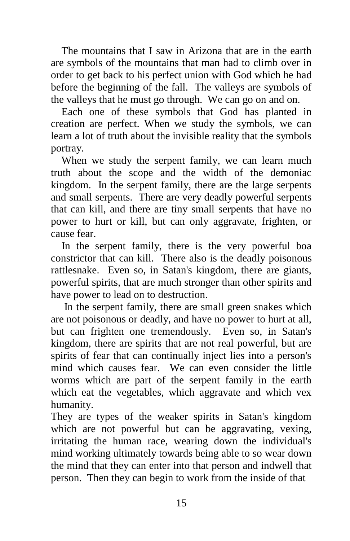The mountains that I saw in Arizona that are in the earth are symbols of the mountains that man had to climb over in order to get back to his perfect union with God which he had before the beginning of the fall. The valleys are symbols of the valleys that he must go through. We can go on and on.

 Each one of these symbols that God has planted in creation are perfect. When we study the symbols, we can learn a lot of truth about the invisible reality that the symbols portray.

 When we study the serpent family, we can learn much truth about the scope and the width of the demoniac kingdom. In the serpent family, there are the large serpents and small serpents. There are very deadly powerful serpents that can kill, and there are tiny small serpents that have no power to hurt or kill, but can only aggravate, frighten, or cause fear.

 In the serpent family, there is the very powerful boa constrictor that can kill. There also is the deadly poisonous rattlesnake. Even so, in Satan's kingdom, there are giants, powerful spirits, that are much stronger than other spirits and have power to lead on to destruction.

 In the serpent family, there are small green snakes which are not poisonous or deadly, and have no power to hurt at all, but can frighten one tremendously. Even so, in Satan's kingdom, there are spirits that are not real powerful, but are spirits of fear that can continually inject lies into a person's mind which causes fear. We can even consider the little worms which are part of the serpent family in the earth which eat the vegetables, which aggravate and which vex humanity.

They are types of the weaker spirits in Satan's kingdom which are not powerful but can be aggravating, vexing, irritating the human race, wearing down the individual's mind working ultimately towards being able to so wear down the mind that they can enter into that person and indwell that person. Then they can begin to work from the inside of that